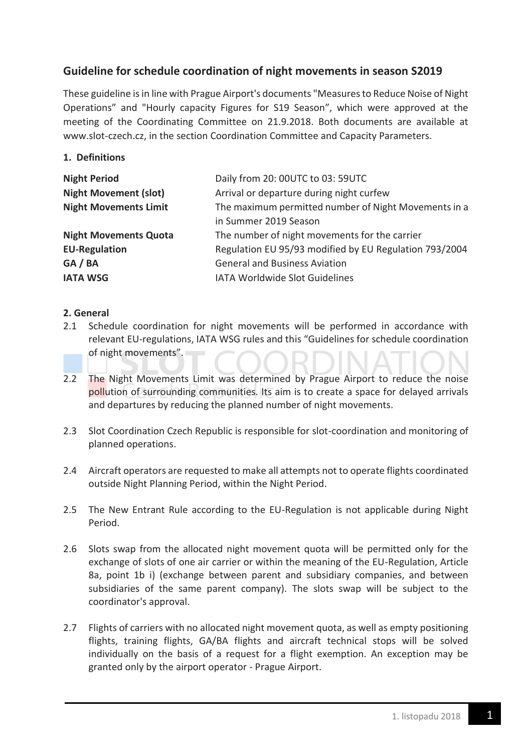# **Guideline for schedule coordination of night movements in season S2019**

These guideline isin line with Prague Airport's documents "Measures to Reduce Noise of Night Operations" and "Hourly capacity Figures for S19 Season", which were approved at the meeting of the Coordinating Committee on 21.9.2018. Both documents are available at www.slot-czech.cz, in the section Coordination Committee and Capacity Parameters.

## **1. Definitions**

| <b>Night Period</b>          | Daily from 20: 00UTC to 03: 59UTC                      |
|------------------------------|--------------------------------------------------------|
| <b>Night Movement (slot)</b> | Arrival or departure during night curfew               |
| <b>Night Movements Limit</b> | The maximum permitted number of Night Movements in a   |
|                              | in Summer 2019 Season                                  |
| <b>Night Movements Quota</b> | The number of night movements for the carrier          |
| <b>EU-Regulation</b>         | Regulation EU 95/93 modified by EU Regulation 793/2004 |
| GA/BA                        | <b>General and Business Aviation</b>                   |
| <b>IATA WSG</b>              | <b>IATA Worldwide Slot Guidelines</b>                  |

### **2. General**

- 2.1 Schedule coordination for night movements will be performed in accordance with relevant EU-regulations, IATA WSG rules and this "Guidelines for schedule coordination of night movements".
- 2.2 The Night Movements Limit was determined by Prague Airport to reduce the noise pollution of surrounding communities. Its aim is to create a space for delayed arrivals and departures by reducing the planned number of night movements.
- 2.3 Slot Coordination Czech Republic is responsible for slot-coordination and monitoring of planned operations.
- 2.4 Aircraft operators are requested to make all attempts not to operate flights coordinated outside Night Planning Period, within the Night Period.
- 2.5 The New Entrant Rule according to the EU-Regulation is not applicable during Night Period.
- 2.6 Slots swap from the allocated night movement quota will be permitted only for the exchange of slots of one air carrier or within the meaning of the EU-Regulation, Article 8a, point 1b i) (exchange between parent and subsidiary companies, and between subsidiaries of the same parent company). The slots swap will be subject to the coordinator's approval.
- 2.7 Flights of carriers with no allocated night movement quota, as well as empty positioning flights, training flights, GA/BA flights and aircraft technical stops will be solved individually on the basis of a request for a flight exemption. An exception may be granted only by the airport operator - Prague Airport.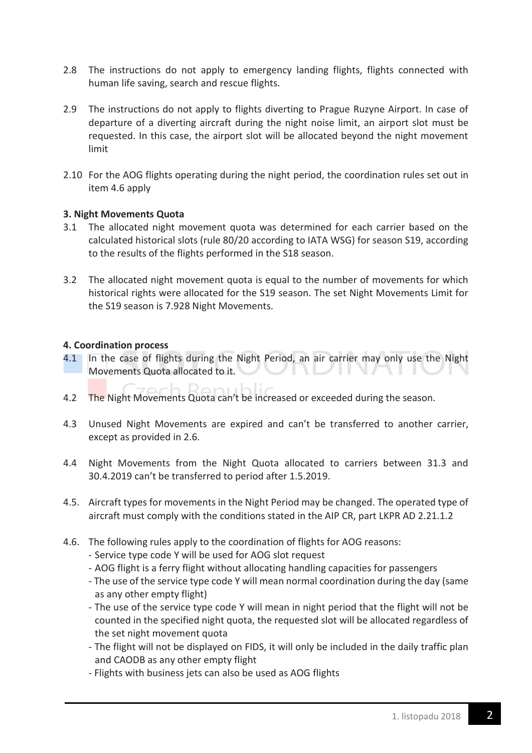- 2.8 The instructions do not apply to emergency landing flights, flights connected with human life saving, search and rescue flights.
- 2.9 The instructions do not apply to flights diverting to Prague Ruzyne Airport. In case of departure of a diverting aircraft during the night noise limit, an airport slot must be requested. In this case, the airport slot will be allocated beyond the night movement limit
- 2.10 For the AOG flights operating during the night period, the coordination rules set out in item 4.6 apply

### **3. Night Movements Quota**

- 3.1 The allocated night movement quota was determined for each carrier based on the calculated historical slots (rule 80/20 according to IATA WSG) for season S19, according to the results of the flights performed in the S18 season.
- 3.2 The allocated night movement quota is equal to the number of movements for which historical rights were allocated for the S19 season. The set Night Movements Limit for the S19 season is 7.928 Night Movements.

### **4. Coordination process**

- 4.1 In the case of flights during the Night Period, an air carrier may only use the Night Movements Quota allocated to it.
- 4.2 The Night Movements Quota can't be increased or exceeded during the season.
- 4.3 Unused Night Movements are expired and can't be transferred to another carrier, except as provided in 2.6.
- 4.4 Night Movements from the Night Quota allocated to carriers between 31.3 and 30.4.2019 can't be transferred to period after 1.5.2019.
- 4.5. Aircraft types for movements in the Night Period may be changed. The operated type of aircraft must comply with the conditions stated in the AIP CR, part LKPR AD 2.21.1.2
- 4.6. The following rules apply to the coordination of flights for AOG reasons:
	- Service type code Y will be used for AOG slot request
	- AOG flight is a ferry flight without allocating handling capacities for passengers
	- The use of the service type code Y will mean normal coordination during the day (same as any other empty flight)
	- The use of the service type code Y will mean in night period that the flight will not be counted in the specified night quota, the requested slot will be allocated regardless of the set night movement quota
	- The flight will not be displayed on FIDS, it will only be included in the daily traffic plan and CAODB as any other empty flight
	- Flights with business jets can also be used as AOG flights